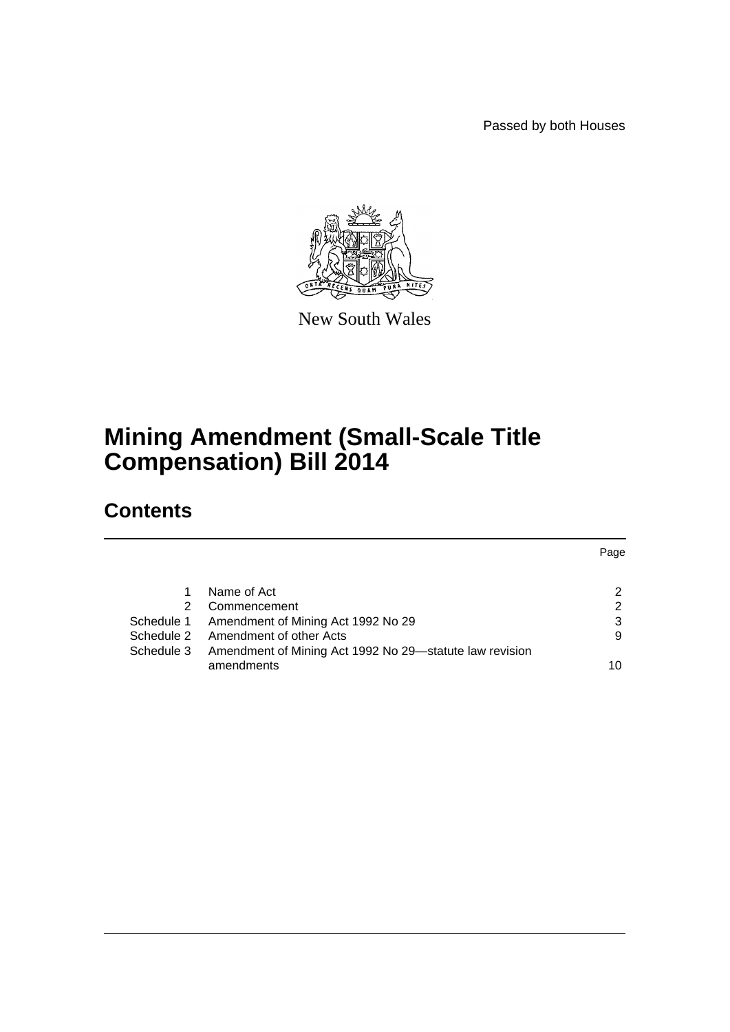Passed by both Houses



New South Wales

# **Mining Amendment (Small-Scale Title Compensation) Bill 2014**

# **Contents**

|            |                                                         | Page |
|------------|---------------------------------------------------------|------|
|            | Name of Act                                             | 2    |
|            | Commencement                                            | 2    |
| Schedule 1 | Amendment of Mining Act 1992 No 29                      | 3    |
|            | Schedule 2 Amendment of other Acts                      | 9    |
| Schedule 3 | Amendment of Mining Act 1992 No 29-statute law revision |      |
|            | amendments                                              | 10   |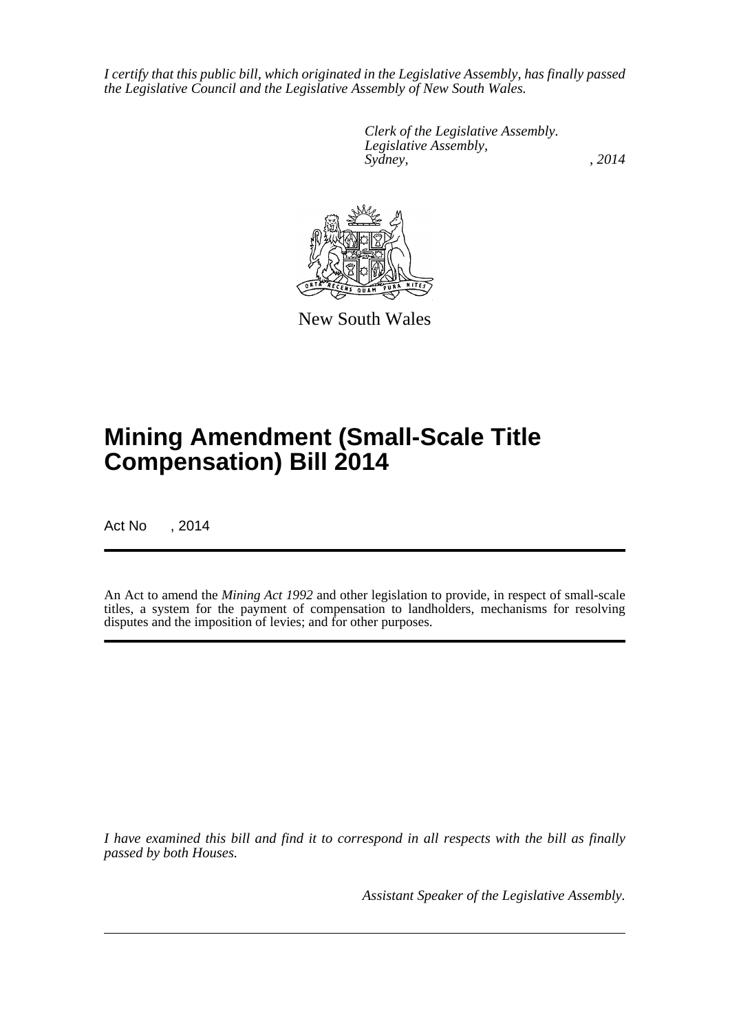*I certify that this public bill, which originated in the Legislative Assembly, has finally passed the Legislative Council and the Legislative Assembly of New South Wales.*

> *Clerk of the Legislative Assembly. Legislative Assembly, Sydney,* , 2014



New South Wales

# **Mining Amendment (Small-Scale Title Compensation) Bill 2014**

Act No , 2014

An Act to amend the *Mining Act 1992* and other legislation to provide, in respect of small-scale titles, a system for the payment of compensation to landholders, mechanisms for resolving disputes and the imposition of levies; and for other purposes.

*I have examined this bill and find it to correspond in all respects with the bill as finally passed by both Houses.*

*Assistant Speaker of the Legislative Assembly.*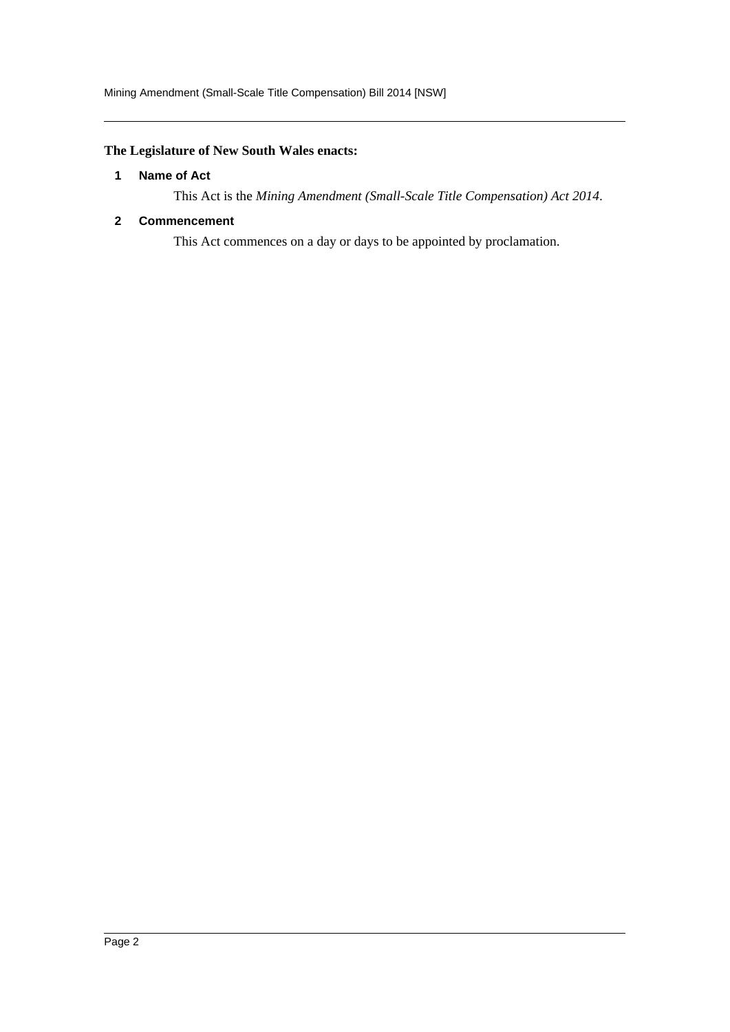### <span id="page-2-0"></span>**The Legislature of New South Wales enacts:**

#### **1 Name of Act**

This Act is the *Mining Amendment (Small-Scale Title Compensation) Act 2014*.

#### <span id="page-2-1"></span>**2 Commencement**

This Act commences on a day or days to be appointed by proclamation.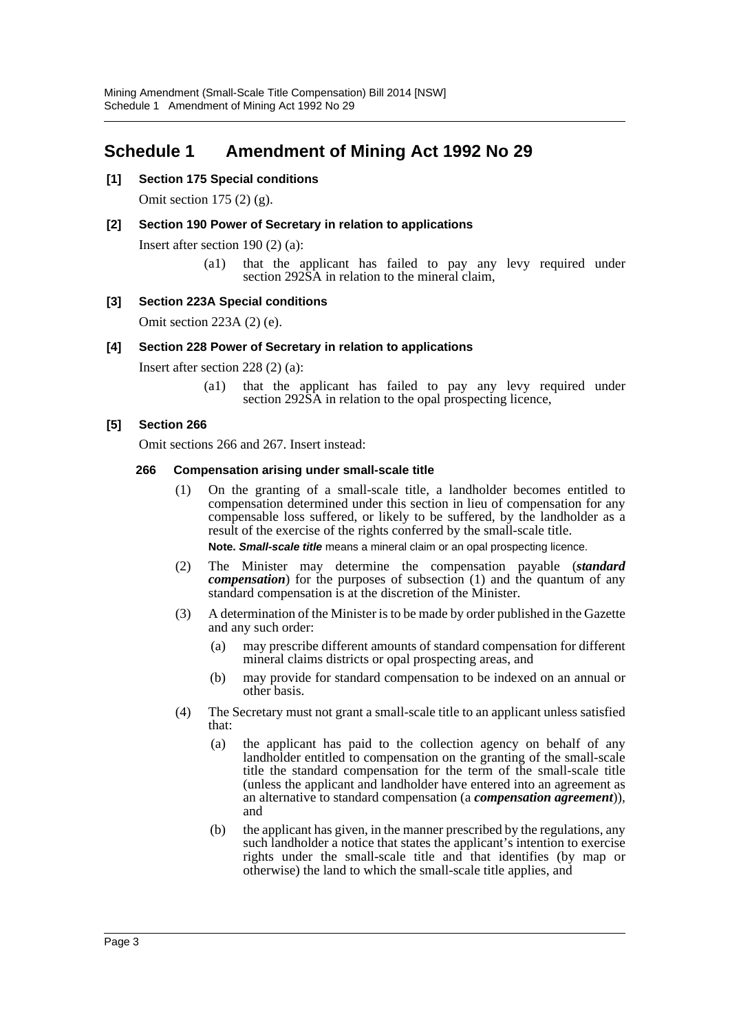# <span id="page-3-0"></span>**Schedule 1 Amendment of Mining Act 1992 No 29**

#### **[1] Section 175 Special conditions**

Omit section 175 (2) (g).

#### **[2] Section 190 Power of Secretary in relation to applications**

Insert after section 190 (2) (a):

(a1) that the applicant has failed to pay any levy required under section 292SA in relation to the mineral claim,

#### **[3] Section 223A Special conditions**

Omit section 223A (2) (e).

#### **[4] Section 228 Power of Secretary in relation to applications**

Insert after section 228 (2) (a):

(a1) that the applicant has failed to pay any levy required under section 292SA in relation to the opal prospecting licence,

#### **[5] Section 266**

Omit sections 266 and 267. Insert instead:

#### **266 Compensation arising under small-scale title**

(1) On the granting of a small-scale title, a landholder becomes entitled to compensation determined under this section in lieu of compensation for any compensable loss suffered, or likely to be suffered, by the landholder as a result of the exercise of the rights conferred by the small-scale title.

**Note.** *Small-scale title* means a mineral claim or an opal prospecting licence.

- (2) The Minister may determine the compensation payable (*standard compensation*) for the purposes of subsection (1) and the quantum of any standard compensation is at the discretion of the Minister.
- (3) A determination of the Minister is to be made by order published in the Gazette and any such order:
	- (a) may prescribe different amounts of standard compensation for different mineral claims districts or opal prospecting areas, and
	- (b) may provide for standard compensation to be indexed on an annual or other basis.
- (4) The Secretary must not grant a small-scale title to an applicant unless satisfied that:
	- (a) the applicant has paid to the collection agency on behalf of any landholder entitled to compensation on the granting of the small-scale title the standard compensation for the term of the small-scale title (unless the applicant and landholder have entered into an agreement as an alternative to standard compensation (a *compensation agreement*)), and
	- (b) the applicant has given, in the manner prescribed by the regulations, any such landholder a notice that states the applicant's intention to exercise rights under the small-scale title and that identifies (by map or otherwise) the land to which the small-scale title applies, and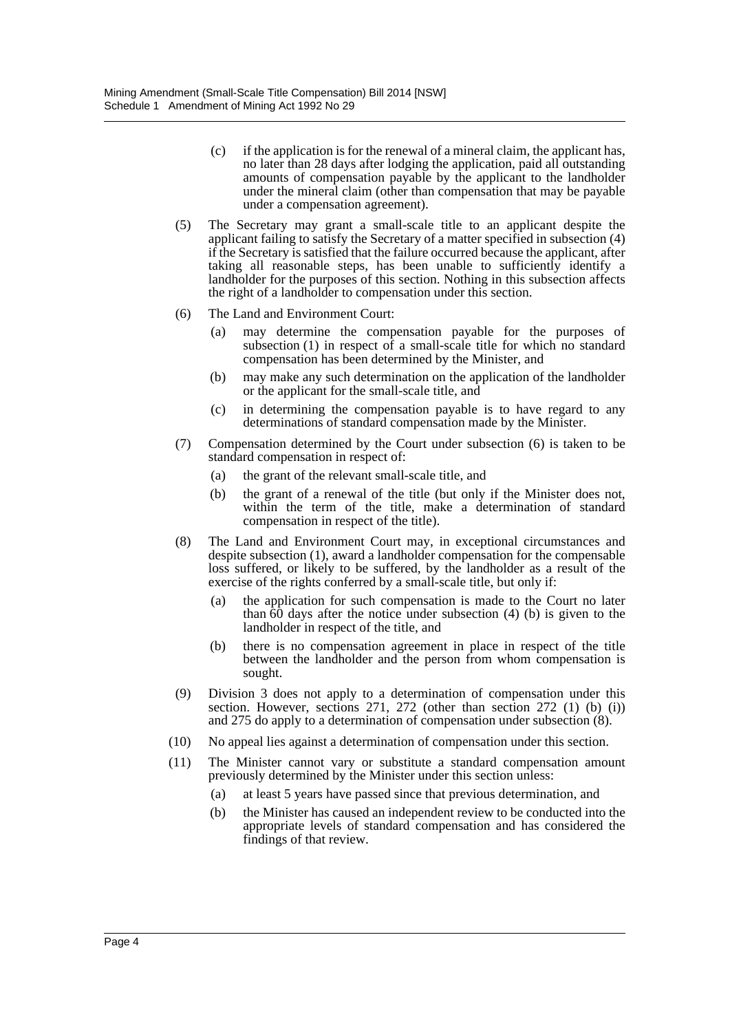- (c) if the application is for the renewal of a mineral claim, the applicant has, no later than 28 days after lodging the application, paid all outstanding amounts of compensation payable by the applicant to the landholder under the mineral claim (other than compensation that may be payable under a compensation agreement).
- (5) The Secretary may grant a small-scale title to an applicant despite the applicant failing to satisfy the Secretary of a matter specified in subsection (4) if the Secretary is satisfied that the failure occurred because the applicant, after taking all reasonable steps, has been unable to sufficiently identify a landholder for the purposes of this section. Nothing in this subsection affects the right of a landholder to compensation under this section.
- (6) The Land and Environment Court:
	- (a) may determine the compensation payable for the purposes of subsection (1) in respect of a small-scale title for which no standard compensation has been determined by the Minister, and
	- (b) may make any such determination on the application of the landholder or the applicant for the small-scale title, and
	- (c) in determining the compensation payable is to have regard to any determinations of standard compensation made by the Minister.
- (7) Compensation determined by the Court under subsection (6) is taken to be standard compensation in respect of:
	- (a) the grant of the relevant small-scale title, and
	- (b) the grant of a renewal of the title (but only if the Minister does not, within the term of the title, make a determination of standard compensation in respect of the title).
- (8) The Land and Environment Court may, in exceptional circumstances and despite subsection (1), award a landholder compensation for the compensable loss suffered, or likely to be suffered, by the landholder as a result of the exercise of the rights conferred by a small-scale title, but only if:
	- (a) the application for such compensation is made to the Court no later than  $\overline{60}$  days after the notice under subsection (4) (b) is given to the landholder in respect of the title, and
	- (b) there is no compensation agreement in place in respect of the title between the landholder and the person from whom compensation is sought.
- (9) Division 3 does not apply to a determination of compensation under this section. However, sections 271, 272 (other than section 272 (1) (b) (i)) and 275 do apply to a determination of compensation under subsection (8).
- (10) No appeal lies against a determination of compensation under this section.
- (11) The Minister cannot vary or substitute a standard compensation amount previously determined by the Minister under this section unless:
	- (a) at least 5 years have passed since that previous determination, and
	- (b) the Minister has caused an independent review to be conducted into the appropriate levels of standard compensation and has considered the findings of that review.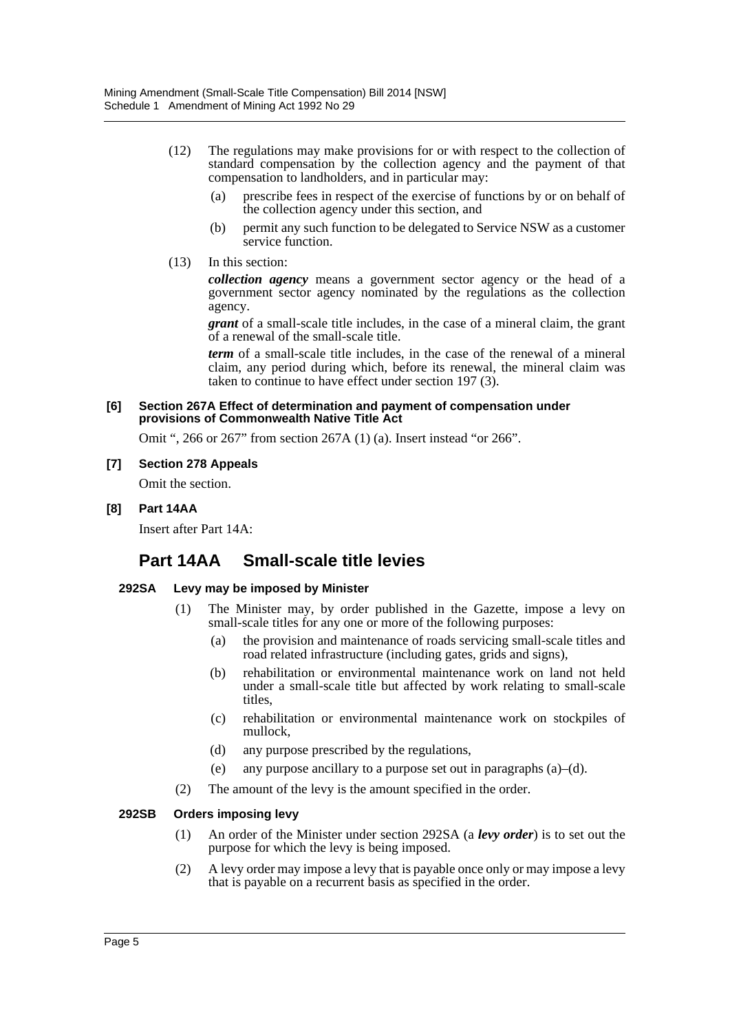- (12) The regulations may make provisions for or with respect to the collection of standard compensation by the collection agency and the payment of that compensation to landholders, and in particular may:
	- (a) prescribe fees in respect of the exercise of functions by or on behalf of the collection agency under this section, and
	- (b) permit any such function to be delegated to Service NSW as a customer service function.
- (13) In this section:

*collection agency* means a government sector agency or the head of a government sector agency nominated by the regulations as the collection agency.

*grant* of a small-scale title includes, in the case of a mineral claim, the grant of a renewal of the small-scale title.

*term* of a small-scale title includes, in the case of the renewal of a mineral claim, any period during which, before its renewal, the mineral claim was taken to continue to have effect under section 197 (3).

#### **[6] Section 267A Effect of determination and payment of compensation under provisions of Commonwealth Native Title Act**

Omit ", 266 or 267" from section 267A (1) (a). Insert instead "or 266".

#### **[7] Section 278 Appeals**

Omit the section.

#### **[8] Part 14AA**

Insert after Part 14A:

# **Part 14AA Small-scale title levies**

#### **292SA Levy may be imposed by Minister**

- (1) The Minister may, by order published in the Gazette, impose a levy on small-scale titles for any one or more of the following purposes:
	- (a) the provision and maintenance of roads servicing small-scale titles and road related infrastructure (including gates, grids and signs),
	- (b) rehabilitation or environmental maintenance work on land not held under a small-scale title but affected by work relating to small-scale titles,
	- (c) rehabilitation or environmental maintenance work on stockpiles of mullock,
	- (d) any purpose prescribed by the regulations,
	- (e) any purpose ancillary to a purpose set out in paragraphs (a)–(d).
- (2) The amount of the levy is the amount specified in the order.

#### **292SB Orders imposing levy**

- (1) An order of the Minister under section 292SA (a *levy order*) is to set out the purpose for which the levy is being imposed.
- (2) A levy order may impose a levy that is payable once only or may impose a levy that is payable on a recurrent basis as specified in the order.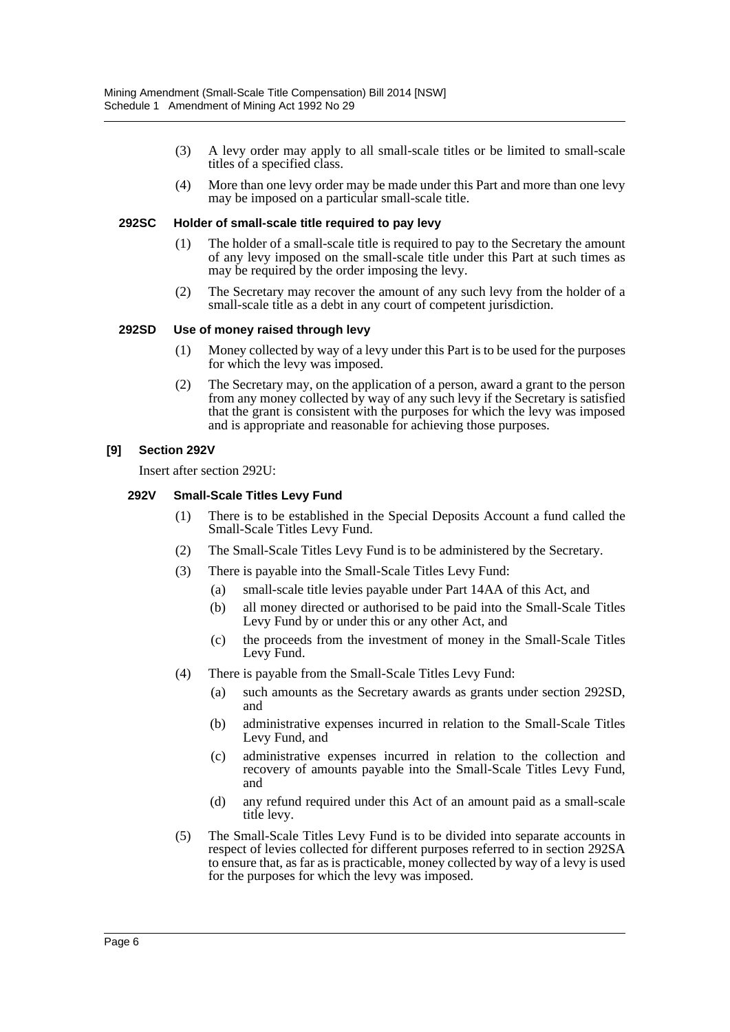- (3) A levy order may apply to all small-scale titles or be limited to small-scale titles of a specified class.
- (4) More than one levy order may be made under this Part and more than one levy may be imposed on a particular small-scale title.

#### **292SC Holder of small-scale title required to pay levy**

- (1) The holder of a small-scale title is required to pay to the Secretary the amount of any levy imposed on the small-scale title under this Part at such times as may be required by the order imposing the levy.
- (2) The Secretary may recover the amount of any such levy from the holder of a small-scale title as a debt in any court of competent jurisdiction.

#### **292SD Use of money raised through levy**

- (1) Money collected by way of a levy under this Part is to be used for the purposes for which the levy was imposed.
- (2) The Secretary may, on the application of a person, award a grant to the person from any money collected by way of any such levy if the Secretary is satisfied that the grant is consistent with the purposes for which the levy was imposed and is appropriate and reasonable for achieving those purposes.

#### **[9] Section 292V**

Insert after section 292U:

#### **292V Small-Scale Titles Levy Fund**

- (1) There is to be established in the Special Deposits Account a fund called the Small-Scale Titles Levy Fund.
- (2) The Small-Scale Titles Levy Fund is to be administered by the Secretary.
- (3) There is payable into the Small-Scale Titles Levy Fund:
	- (a) small-scale title levies payable under Part 14AA of this Act, and
	- (b) all money directed or authorised to be paid into the Small-Scale Titles Levy Fund by or under this or any other Act, and
	- (c) the proceeds from the investment of money in the Small-Scale Titles Levy Fund.
- (4) There is payable from the Small-Scale Titles Levy Fund:
	- (a) such amounts as the Secretary awards as grants under section 292SD, and
	- (b) administrative expenses incurred in relation to the Small-Scale Titles Levy Fund, and
	- (c) administrative expenses incurred in relation to the collection and recovery of amounts payable into the Small-Scale Titles Levy Fund, and
	- (d) any refund required under this Act of an amount paid as a small-scale title levy.
- (5) The Small-Scale Titles Levy Fund is to be divided into separate accounts in respect of levies collected for different purposes referred to in section 292SA to ensure that, as far as is practicable, money collected by way of a levy is used for the purposes for which the levy was imposed.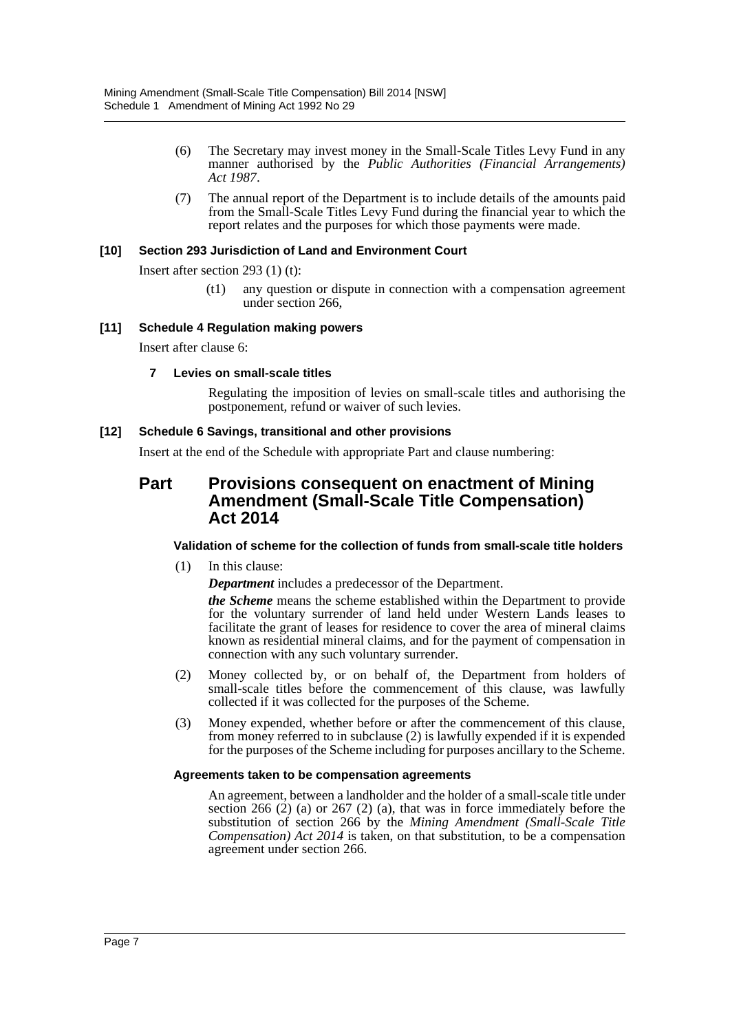- (6) The Secretary may invest money in the Small-Scale Titles Levy Fund in any manner authorised by the *Public Authorities (Financial Arrangements) Act 1987*.
- (7) The annual report of the Department is to include details of the amounts paid from the Small-Scale Titles Levy Fund during the financial year to which the report relates and the purposes for which those payments were made.

#### **[10] Section 293 Jurisdiction of Land and Environment Court**

Insert after section 293 (1) (t):

(t1) any question or dispute in connection with a compensation agreement under section 266,

#### **[11] Schedule 4 Regulation making powers**

Insert after clause 6:

#### **7 Levies on small-scale titles**

Regulating the imposition of levies on small-scale titles and authorising the postponement, refund or waiver of such levies.

#### **[12] Schedule 6 Savings, transitional and other provisions**

Insert at the end of the Schedule with appropriate Part and clause numbering:

## **Part Provisions consequent on enactment of Mining Amendment (Small-Scale Title Compensation) Act 2014**

#### **Validation of scheme for the collection of funds from small-scale title holders**

(1) In this clause:

*Department* includes a predecessor of the Department.

*the Scheme* means the scheme established within the Department to provide for the voluntary surrender of land held under Western Lands leases to facilitate the grant of leases for residence to cover the area of mineral claims known as residential mineral claims, and for the payment of compensation in connection with any such voluntary surrender.

- (2) Money collected by, or on behalf of, the Department from holders of small-scale titles before the commencement of this clause, was lawfully collected if it was collected for the purposes of the Scheme.
- (3) Money expended, whether before or after the commencement of this clause, from money referred to in subclause (2) is lawfully expended if it is expended for the purposes of the Scheme including for purposes ancillary to the Scheme.

#### **Agreements taken to be compensation agreements**

An agreement, between a landholder and the holder of a small-scale title under section 266 (2) (a) or 267 (2) (a), that was in force immediately before the substitution of section 266 by the *Mining Amendment (Small-Scale Title Compensation) Act 2014* is taken, on that substitution, to be a compensation agreement under section 266.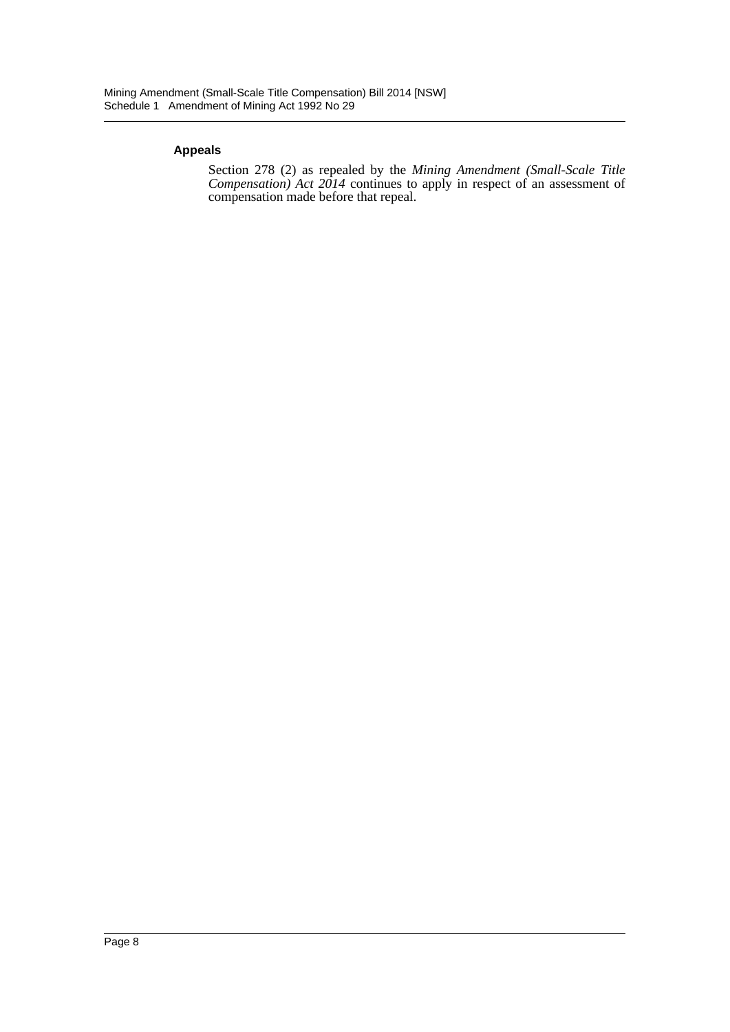#### **Appeals**

Section 278 (2) as repealed by the *Mining Amendment (Small-Scale Title Compensation) Act 2014* continues to apply in respect of an assessment of compensation made before that repeal.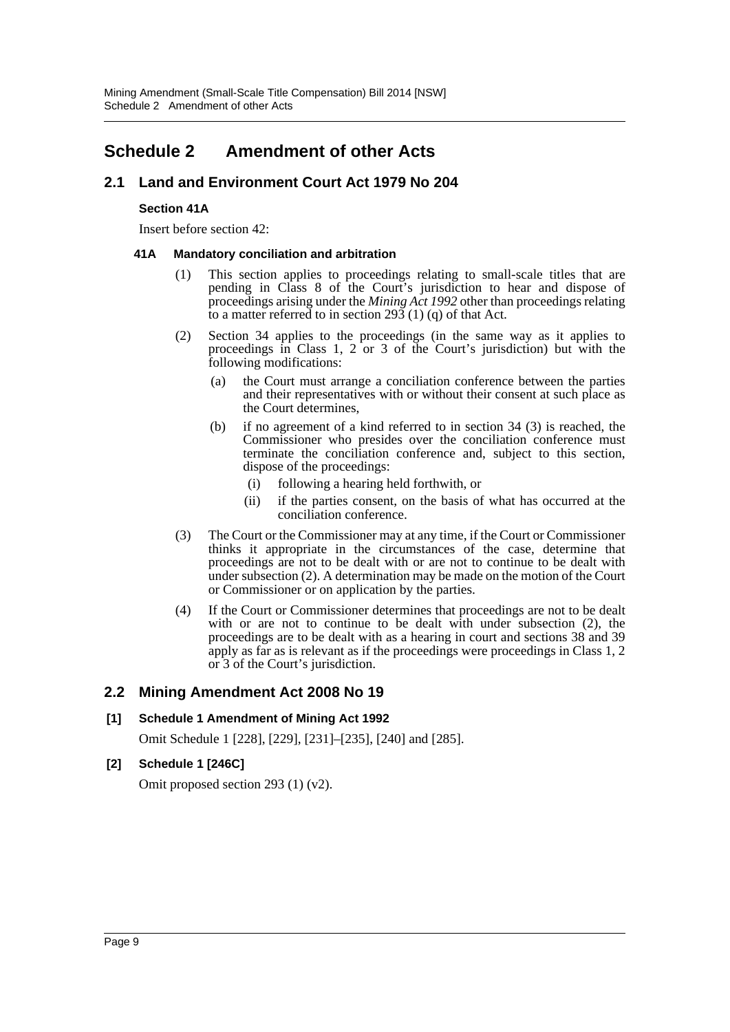# <span id="page-9-0"></span>**Schedule 2 Amendment of other Acts**

## **2.1 Land and Environment Court Act 1979 No 204**

#### **Section 41A**

Insert before section 42:

#### **41A Mandatory conciliation and arbitration**

- (1) This section applies to proceedings relating to small-scale titles that are pending in Class 8 of the Court's jurisdiction to hear and dispose of proceedings arising under the *Mining Act 1992* other than proceedings relating to a matter referred to in section  $293(1)(q)$  of that Act.
- (2) Section 34 applies to the proceedings (in the same way as it applies to proceedings in Class 1, 2 or 3 of the Court's jurisdiction) but with the following modifications:
	- (a) the Court must arrange a conciliation conference between the parties and their representatives with or without their consent at such place as the Court determines,
	- (b) if no agreement of a kind referred to in section 34 (3) is reached, the Commissioner who presides over the conciliation conference must terminate the conciliation conference and, subject to this section, dispose of the proceedings:
		- (i) following a hearing held forthwith, or
		- (ii) if the parties consent, on the basis of what has occurred at the conciliation conference.
- (3) The Court or the Commissioner may at any time, if the Court or Commissioner thinks it appropriate in the circumstances of the case, determine that proceedings are not to be dealt with or are not to continue to be dealt with under subsection (2). A determination may be made on the motion of the Court or Commissioner or on application by the parties.
- (4) If the Court or Commissioner determines that proceedings are not to be dealt with or are not to continue to be dealt with under subsection (2), the proceedings are to be dealt with as a hearing in court and sections 38 and 39 apply as far as is relevant as if the proceedings were proceedings in Class 1, 2 or 3 of the Court's jurisdiction.

#### **2.2 Mining Amendment Act 2008 No 19**

#### **[1] Schedule 1 Amendment of Mining Act 1992**

Omit Schedule 1 [228], [229], [231]–[235], [240] and [285].

#### **[2] Schedule 1 [246C]**

Omit proposed section 293 (1) (v2).